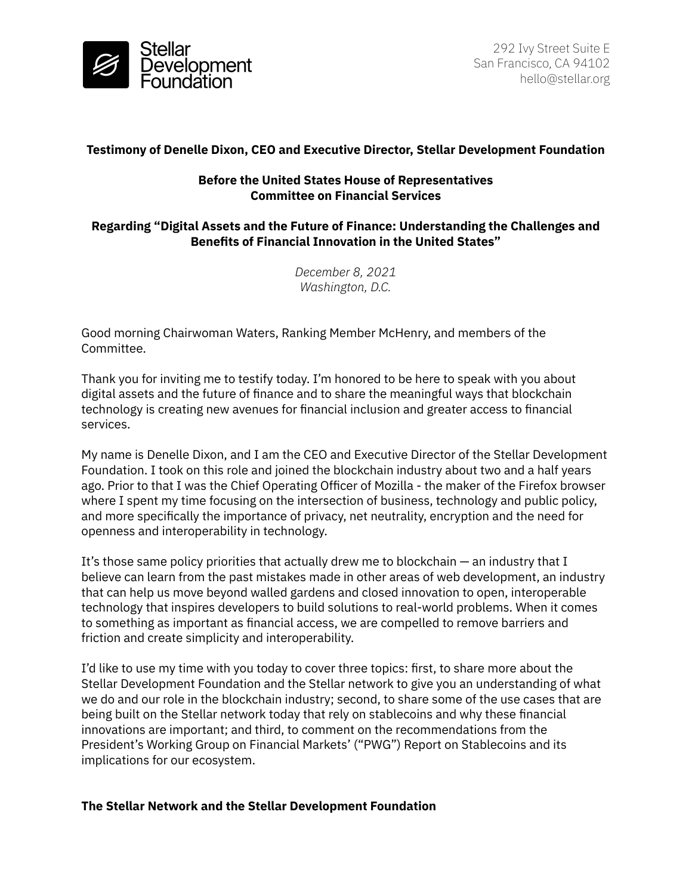

# **Testimony of Denelle Dixon, CEO and Executive Director, Stellar Development Foundation**

## **Before the United States House of Representatives Committee on Financial Services**

# **Regarding "Digital Assets and the Future of Finance: Understanding the Challenges and Benefits of Financial Innovation in the United States"**

*December 8, 2021 Washington, D.C.*

Good morning Chairwoman Waters, Ranking Member McHenry, and members of the Committee.

Thank you for inviting me to testify today. I'm honored to be here to speak with you about digital assets and the future of finance and to share the meaningful ways that blockchain technology is creating new avenues for financial inclusion and greater access to financial services.

My name is Denelle Dixon, and I am the CEO and Executive Director of the Stellar Development Foundation. I took on this role and joined the blockchain industry about two and a half years ago. Prior to that I was the Chief Operating Officer of Mozilla - the maker of the Firefox browser where I spent my time focusing on the intersection of business, technology and public policy, and more specifically the importance of privacy, net neutrality, encryption and the need for openness and interoperability in technology.

It's those same policy priorities that actually drew me to blockchain — an industry that I believe can learn from the past mistakes made in other areas of web development, an industry that can help us move beyond walled gardens and closed innovation to open, interoperable technology that inspires developers to build solutions to real-world problems. When it comes to something as important as financial access, we are compelled to remove barriers and friction and create simplicity and interoperability.

I'd like to use my time with you today to cover three topics: first, to share more about the Stellar Development Foundation and the Stellar network to give you an understanding of what we do and our role in the blockchain industry; second, to share some of the use cases that are being built on the Stellar network today that rely on stablecoins and why these financial innovations are important; and third, to comment on the recommendations from the President's Working Group on Financial Markets' ("PWG") Report on Stablecoins and its implications for our ecosystem.

### **The Stellar Network and the Stellar Development Foundation**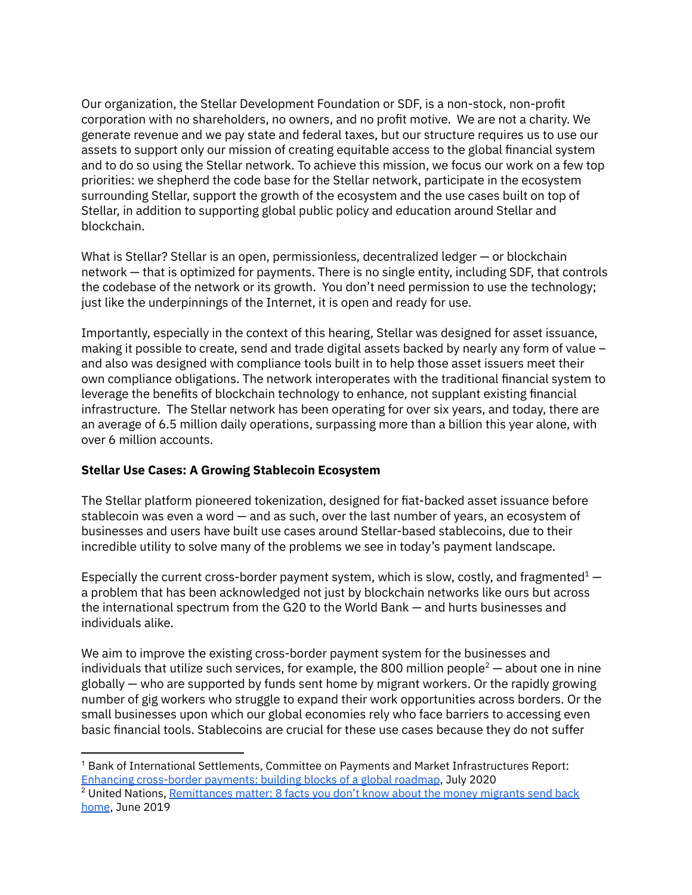Our organization, the Stellar Development Foundation or SDF, is a non-stock, non-profit corporation with no shareholders, no owners, and no profit motive. We are not a charity. We generate revenue and we pay state and federal taxes, but our structure requires us to use our assets to support only our mission of creating equitable access to the global financial system and to do so using the Stellar network. To achieve this mission, we focus our work on a few top priorities: we shepherd the code base for the Stellar network, participate in the ecosystem surrounding Stellar, support the growth of the ecosystem and the use cases built on top of Stellar, in addition to supporting global public policy and education around Stellar and blockchain.

What is Stellar? Stellar is an open, permissionless, decentralized ledger — or blockchain network — that is optimized for payments. There is no single entity, including SDF, that controls the codebase of the network or its growth. You don't need permission to use the technology; just like the underpinnings of the Internet, it is open and ready for use.

Importantly, especially in the context of this hearing, Stellar was designed for asset issuance, making it possible to create, send and trade digital assets backed by nearly any form of value – and also was designed with compliance tools built in to help those asset issuers meet their own compliance obligations. The network interoperates with the traditional financial system to leverage the benefits of blockchain technology to enhance, not supplant existing financial infrastructure. The Stellar network has been operating for over six years, and today, there are an average of 6.5 million daily operations, surpassing more than a billion this year alone, with over 6 million accounts.

### **Stellar Use Cases: A Growing Stablecoin Ecosystem**

The Stellar platform pioneered tokenization, designed for fiat-backed asset issuance before stablecoin was even a word — and as such, over the last number of years, an ecosystem of businesses and users have built use cases around Stellar-based stablecoins, due to their incredible utility to solve many of the problems we see in today's payment landscape.

Especially the current cross-border payment system, which is slow, costly, and fragmented $1$ a problem that has been acknowledged not just by blockchain networks like ours but across the international spectrum from the G20 to the World Bank — and hurts businesses and individuals alike.

We aim to improve the existing cross-border payment system for the businesses and individuals that utilize such services, for example, the 800 million people<sup>2</sup> — about one in nine globally — who are supported by funds sent home by migrant workers. Or the rapidly growing number of gig workers who struggle to expand their work opportunities across borders. Or the small businesses upon which our global economies rely who face barriers to accessing even basic financial tools. Stablecoins are crucial for these use cases because they do not suffer

 $^1$  Bank of International Settlements, Committee on Payments and Market Infrastructures Report: Enhancing [cross-border](https://www.bis.org/cpmi/publ/d193.htm) payments: building blocks of a global roadmap, July 2020

<sup>&</sup>lt;sup>2</sup> United Nations, [Remittances](https://www.un.org/development/desa/en/news/population/remittances-matter.html) matter: 8 facts you don't know about the money migrants send back [home](https://www.un.org/development/desa/en/news/population/remittances-matter.html), June 2019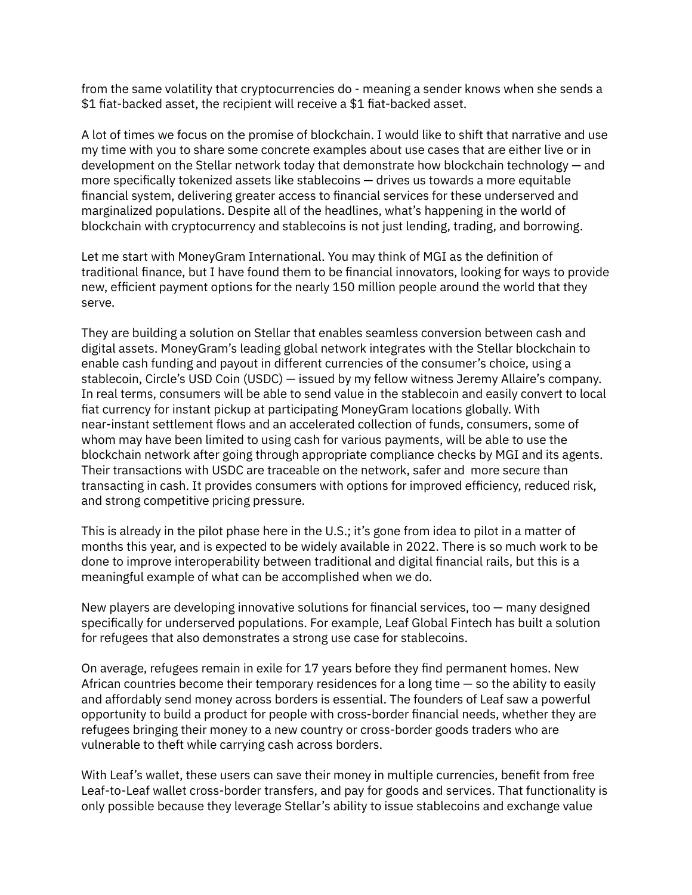from the same volatility that cryptocurrencies do - meaning a sender knows when she sends a \$1 fiat-backed asset, the recipient will receive a \$1 fiat-backed asset.

A lot of times we focus on the promise of blockchain. I would like to shift that narrative and use my time with you to share some concrete examples about use cases that are either live or in development on the Stellar network today that demonstrate how blockchain technology — and more specifically tokenized assets like stablecoins — drives us towards a more equitable financial system, delivering greater access to financial services for these underserved and marginalized populations. Despite all of the headlines, what's happening in the world of blockchain with cryptocurrency and stablecoins is not just lending, trading, and borrowing.

Let me start with MoneyGram International. You may think of MGI as the definition of traditional finance, but I have found them to be financial innovators, looking for ways to provide new, efficient payment options for the nearly 150 million people around the world that they serve.

They are building a solution on Stellar that enables seamless conversion between cash and digital assets. MoneyGram's leading global network integrates with the Stellar blockchain to enable cash funding and payout in different currencies of the consumer's choice, using a stablecoin, Circle's USD Coin (USDC) — issued by my fellow witness Jeremy Allaire's company. In real terms, consumers will be able to send value in the stablecoin and easily convert to local fiat currency for instant pickup at participating MoneyGram locations globally. With near-instant settlement flows and an accelerated collection of funds, consumers, some of whom may have been limited to using cash for various payments, will be able to use the blockchain network after going through appropriate compliance checks by MGI and its agents. Their transactions with USDC are traceable on the network, safer and more secure than transacting in cash. It provides consumers with options for improved efficiency, reduced risk, and strong competitive pricing pressure.

This is already in the pilot phase here in the U.S.; it's gone from idea to pilot in a matter of months this year, and is expected to be widely available in 2022. There is so much work to be done to improve interoperability between traditional and digital financial rails, but this is a meaningful example of what can be accomplished when we do.

New players are developing innovative solutions for financial services, too  $-$  many designed specifically for underserved populations. For example, Leaf Global Fintech has built a solution for refugees that also demonstrates a strong use case for stablecoins.

On average, refugees remain in exile for 17 years before they find permanent homes. New African countries become their temporary residences for a long time — so the ability to easily and affordably send money across borders is essential. The founders of Leaf saw a powerful opportunity to build a product for people with cross-border financial needs, whether they are refugees bringing their money to a new country or cross-border goods traders who are vulnerable to theft while carrying cash across borders.

With Leaf's wallet, these users can save their money in multiple currencies, benefit from free Leaf-to-Leaf wallet cross-border transfers, and pay for goods and services. That functionality is only possible because they leverage Stellar's ability to issue stablecoins and exchange value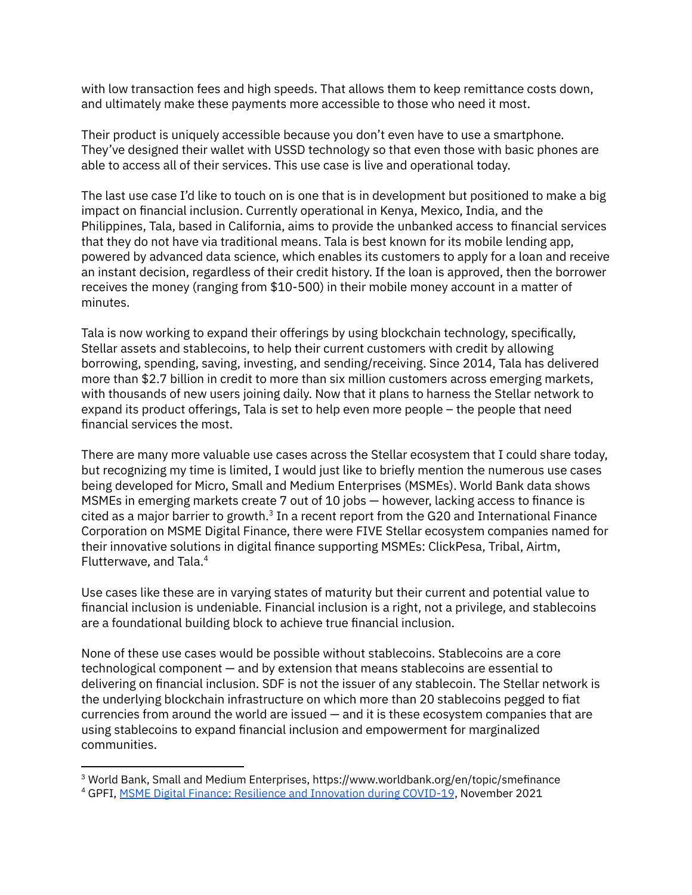with low transaction fees and high speeds. That allows them to keep remittance costs down, and ultimately make these payments more accessible to those who need it most.

Their product is uniquely accessible because you don't even have to use a smartphone. They've designed their wallet with USSD technology so that even those with basic phones are able to access all of their services. This use case is live and operational today.

The last use case I'd like to touch on is one that is in development but positioned to make a big impact on financial inclusion. Currently operational in Kenya, Mexico, India, and the Philippines, Tala, based in California, aims to provide the unbanked access to financial services that they do not have via traditional means. Tala is best known for its mobile lending app, powered by advanced data science, which enables its customers to apply for a loan and receive an instant decision, regardless of their credit history. If the loan is approved, then the borrower receives the money (ranging from \$10-500) in their mobile money account in a matter of minutes.

Tala is now working to expand their offerings by using blockchain technology, specifically, Stellar assets and stablecoins, to help their current customers with credit by allowing borrowing, spending, saving, investing, and sending/receiving. Since 2014, Tala has delivered more than \$2.7 billion in credit to more than six million customers across emerging markets, with thousands of new users joining daily. Now that it plans to harness the Stellar network to expand its product offerings, Tala is set to help even more people – the people that need financial services the most.

There are many more valuable use cases across the Stellar ecosystem that I could share today, but recognizing my time is limited, I would just like to briefly mention the numerous use cases being developed for Micro, Small and Medium Enterprises (MSMEs). World Bank data shows MSMEs in emerging markets create 7 out of 10 jobs — however, lacking access to finance is cited as a major barrier to growth. $3$  In a recent report from the G20 and International Finance Corporation on MSME Digital Finance, there were FIVE Stellar ecosystem companies named for their innovative solutions in digital finance supporting MSMEs: ClickPesa, Tribal, Airtm, Flutterwave, and Tala. 4

Use cases like these are in varying states of maturity but their current and potential value to financial inclusion is undeniable. Financial inclusion is a right, not a privilege, and stablecoins are a foundational building block to achieve true financial inclusion.

None of these use cases would be possible without stablecoins. Stablecoins are a core technological component — and by extension that means stablecoins are essential to delivering on financial inclusion. SDF is not the issuer of any stablecoin. The Stellar network is the underlying blockchain infrastructure on which more than 20 stablecoins pegged to fiat currencies from around the world are issued — and it is these ecosystem companies that are using stablecoins to expand financial inclusion and empowerment for marginalized communities.

<sup>3</sup> World Bank, Small and Medium Enterprises, https://www.worldbank.org/en/topic/smefinance

<sup>4</sup> GPFI, MSME Digital Finance: Resilience and [Innovation](https://www.gpfi.org/publications/msme-digital-finance-resilience-and-innovation-during-covid-19) during COVID-19, November 2021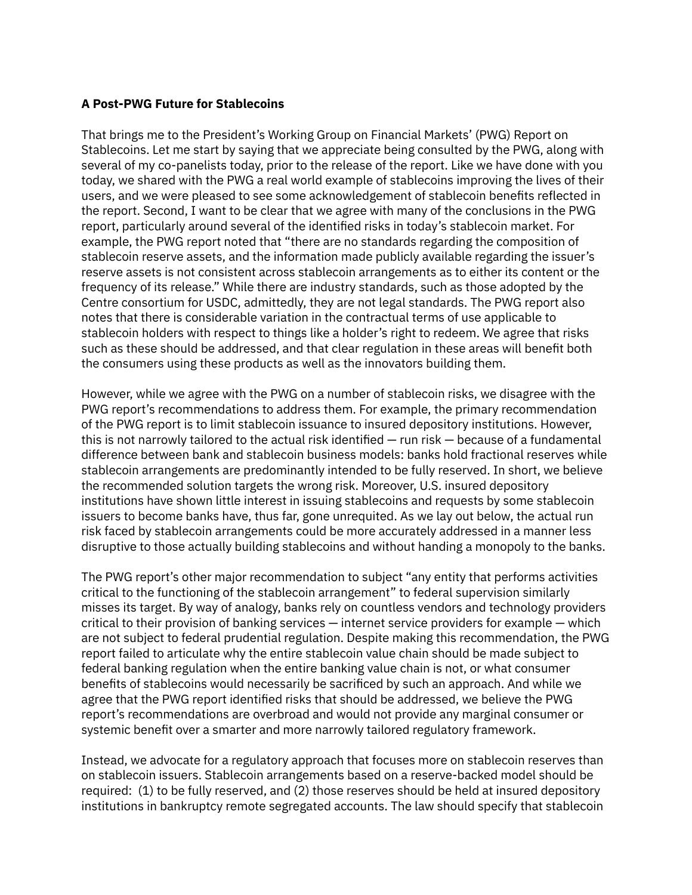## **A Post-PWG Future for Stablecoins**

That brings me to the President's Working Group on Financial Markets' (PWG) Report on Stablecoins. Let me start by saying that we appreciate being consulted by the PWG, along with several of my co-panelists today, prior to the release of the report. Like we have done with you today, we shared with the PWG a real world example of stablecoins improving the lives of their users, and we were pleased to see some acknowledgement of stablecoin benefits reflected in the report. Second, I want to be clear that we agree with many of the conclusions in the PWG report, particularly around several of the identified risks in today's stablecoin market. For example, the PWG report noted that "there are no standards regarding the composition of stablecoin reserve assets, and the information made publicly available regarding the issuer's reserve assets is not consistent across stablecoin arrangements as to either its content or the frequency of its release." While there are industry standards, such as those adopted by the Centre consortium for USDC, admittedly, they are not legal standards. The PWG report also notes that there is considerable variation in the contractual terms of use applicable to stablecoin holders with respect to things like a holder's right to redeem. We agree that risks such as these should be addressed, and that clear regulation in these areas will benefit both the consumers using these products as well as the innovators building them.

However, while we agree with the PWG on a number of stablecoin risks, we disagree with the PWG report's recommendations to address them. For example, the primary recommendation of the PWG report is to limit stablecoin issuance to insured depository institutions. However, this is not narrowly tailored to the actual risk identified — run risk — because of a fundamental difference between bank and stablecoin business models: banks hold fractional reserves while stablecoin arrangements are predominantly intended to be fully reserved. In short, we believe the recommended solution targets the wrong risk. Moreover, U.S. insured depository institutions have shown little interest in issuing stablecoins and requests by some stablecoin issuers to become banks have, thus far, gone unrequited. As we lay out below, the actual run risk faced by stablecoin arrangements could be more accurately addressed in a manner less disruptive to those actually building stablecoins and without handing a monopoly to the banks.

The PWG report's other major recommendation to subject "any entity that performs activities critical to the functioning of the stablecoin arrangement" to federal supervision similarly misses its target. By way of analogy, banks rely on countless vendors and technology providers critical to their provision of banking services — internet service providers for example — which are not subject to federal prudential regulation. Despite making this recommendation, the PWG report failed to articulate why the entire stablecoin value chain should be made subject to federal banking regulation when the entire banking value chain is not, or what consumer benefits of stablecoins would necessarily be sacrificed by such an approach. And while we agree that the PWG report identified risks that should be addressed, we believe the PWG report's recommendations are overbroad and would not provide any marginal consumer or systemic benefit over a smarter and more narrowly tailored regulatory framework.

Instead, we advocate for a regulatory approach that focuses more on stablecoin reserves than on stablecoin issuers. Stablecoin arrangements based on a reserve-backed model should be required: (1) to be fully reserved, and (2) those reserves should be held at insured depository institutions in bankruptcy remote segregated accounts. The law should specify that stablecoin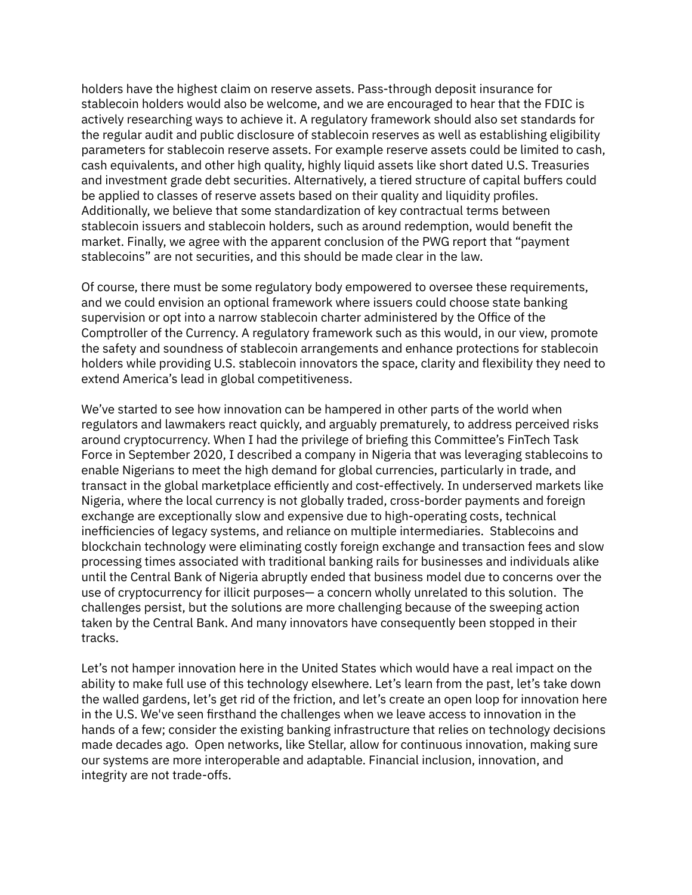holders have the highest claim on reserve assets. Pass-through deposit insurance for stablecoin holders would also be welcome, and we are encouraged to hear that the FDIC is actively researching ways to achieve it. A regulatory framework should also set standards for the regular audit and public disclosure of stablecoin reserves as well as establishing eligibility parameters for stablecoin reserve assets. For example reserve assets could be limited to cash, cash equivalents, and other high quality, highly liquid assets like short dated U.S. Treasuries and investment grade debt securities. Alternatively, a tiered structure of capital buffers could be applied to classes of reserve assets based on their quality and liquidity profiles. Additionally, we believe that some standardization of key contractual terms between stablecoin issuers and stablecoin holders, such as around redemption, would benefit the market. Finally, we agree with the apparent conclusion of the PWG report that "payment stablecoins" are not securities, and this should be made clear in the law.

Of course, there must be some regulatory body empowered to oversee these requirements, and we could envision an optional framework where issuers could choose state banking supervision or opt into a narrow stablecoin charter administered by the Office of the Comptroller of the Currency. A regulatory framework such as this would, in our view, promote the safety and soundness of stablecoin arrangements and enhance protections for stablecoin holders while providing U.S. stablecoin innovators the space, clarity and flexibility they need to extend America's lead in global competitiveness.

We've started to see how innovation can be hampered in other parts of the world when regulators and lawmakers react quickly, and arguably prematurely, to address perceived risks around cryptocurrency. When I had the privilege of briefing this Committee's FinTech Task Force in September 2020, I described a company in Nigeria that was leveraging stablecoins to enable Nigerians to meet the high demand for global currencies, particularly in trade, and transact in the global marketplace efficiently and cost-effectively. In underserved markets like Nigeria, where the local currency is not globally traded, cross-border payments and foreign exchange are exceptionally slow and expensive due to high-operating costs, technical inefficiencies of legacy systems, and reliance on multiple intermediaries. Stablecoins and blockchain technology were eliminating costly foreign exchange and transaction fees and slow processing times associated with traditional banking rails for businesses and individuals alike until the Central Bank of Nigeria abruptly ended that business model due to concerns over the use of cryptocurrency for illicit purposes— a concern wholly unrelated to this solution. The challenges persist, but the solutions are more challenging because of the sweeping action taken by the Central Bank. And many innovators have consequently been stopped in their tracks.

Let's not hamper innovation here in the United States which would have a real impact on the ability to make full use of this technology elsewhere. Let's learn from the past, let's take down the walled gardens, let's get rid of the friction, and let's create an open loop for innovation here in the U.S. We've seen firsthand the challenges when we leave access to innovation in the hands of a few; consider the existing banking infrastructure that relies on technology decisions made decades ago. Open networks, like Stellar, allow for continuous innovation, making sure our systems are more interoperable and adaptable. Financial inclusion, innovation, and integrity are not trade-offs.